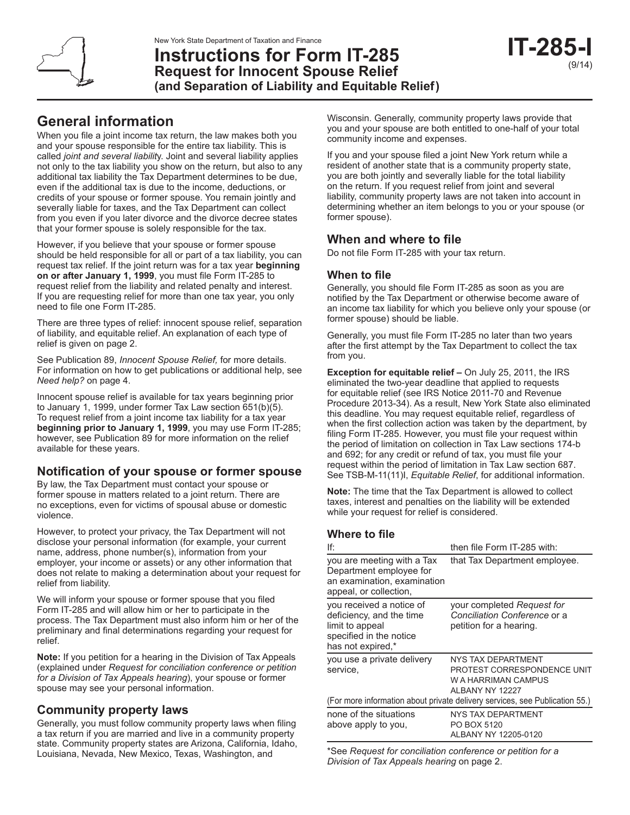# **General information**

When you file a joint income tax return, the law makes both you and your spouse responsible for the entire tax liability. This is called *joint and several liabilit*y. Joint and several liability applies not only to the tax liability you show on the return, but also to any additional tax liability the Tax Department determines to be due, even if the additional tax is due to the income, deductions, or credits of your spouse or former spouse. You remain jointly and severally liable for taxes, and the Tax Department can collect from you even if you later divorce and the divorce decree states that your former spouse is solely responsible for the tax.

However, if you believe that your spouse or former spouse should be held responsible for all or part of a tax liability, you can request tax relief. If the joint return was for a tax year **beginning on or after January 1, 1999**, you must file Form IT-285 to request relief from the liability and related penalty and interest. If you are requesting relief for more than one tax year, you only need to file one Form IT-285.

There are three types of relief: innocent spouse relief, separation of liability, and equitable relief. An explanation of each type of relief is given on page 2.

See Publication 89, *Innocent Spouse Relief,* for more details. For information on how to get publications or additional help, see *Need help?* on page 4.

Innocent spouse relief is available for tax years beginning prior to January 1, 1999, under former Tax Law section 651(b)(5). To request relief from a joint income tax liability for a tax year **beginning prior to January 1, 1999**, you may use Form IT-285; however, see Publication 89 for more information on the relief available for these years.

### **Notification of your spouse or former spouse**

By law, the Tax Department must contact your spouse or former spouse in matters related to a joint return. There are no exceptions, even for victims of spousal abuse or domestic violence.

However, to protect your privacy, the Tax Department will not disclose your personal information (for example, your current name, address, phone number(s), information from your employer, your income or assets) or any other information that does not relate to making a determination about your request for relief from liability.

We will inform your spouse or former spouse that you filed Form IT-285 and will allow him or her to participate in the process. The Tax Department must also inform him or her of the preliminary and final determinations regarding your request for relief.

**Note:** If you petition for a hearing in the Division of Tax Appeals (explained under *Request for conciliation conference or petition for a Division of Tax Appeals hearing*), your spouse or former spouse may see your personal information.

### **Community property laws**

Generally, you must follow community property laws when filing a tax return if you are married and live in a community property state. Community property states are Arizona, California, Idaho, Louisiana, Nevada, New Mexico, Texas, Washington, and

Wisconsin. Generally, community property laws provide that you and your spouse are both entitled to one-half of your total community income and expenses.

If you and your spouse filed a joint New York return while a resident of another state that is a community property state, you are both jointly and severally liable for the total liability on the return. If you request relief from joint and several liability, community property laws are not taken into account in determining whether an item belongs to you or your spouse (or former spouse).

### **When and where to file**

Do not file Form IT-285 with your tax return.

### **When to file**

Generally, you should file Form IT-285 as soon as you are notified by the Tax Department or otherwise become aware of an income tax liability for which you believe only your spouse (or former spouse) should be liable.

Generally, you must file Form IT-285 no later than two years after the first attempt by the Tax Department to collect the tax from you.

**Exception for equitable relief –** On July 25, 2011, the IRS eliminated the two-year deadline that applied to requests for equitable relief (see IRS Notice 2011-70 and Revenue Procedure 2013-34). As a result, New York State also eliminated this deadline. You may request equitable relief, regardless of when the first collection action was taken by the department, by filing Form IT-285. However, you must file your request within the period of limitation on collection in Tax Law sections 174-b and 692; for any credit or refund of tax, you must file your request within the period of limitation in Tax Law section 687. See TSB-M-11(11)I, *Equitable Relief*, for additional information.

**Note:** The time that the Tax Department is allowed to collect taxes, interest and penalties on the liability will be extended while your request for relief is considered.

### **Where to file**

| lf:                                                                                                                     | then file Form IT-285 with:                                                                        |  |
|-------------------------------------------------------------------------------------------------------------------------|----------------------------------------------------------------------------------------------------|--|
| you are meeting with a Tax<br>Department employee for<br>an examination, examination<br>appeal, or collection,          | that Tax Department employee.                                                                      |  |
| you received a notice of<br>deficiency, and the time<br>limit to appeal<br>specified in the notice<br>has not expired,* | your completed Request for<br>Conciliation Conference or a<br>petition for a hearing.              |  |
| you use a private delivery<br>service,                                                                                  | <b>NYS TAX DEPARTMENT</b><br>PROTEST CORRESPONDENCE UNIT<br>W A HARRIMAN CAMPUS<br>ALBANY NY 12227 |  |
| (For more information about private delivery services, see Publication 55.)                                             |                                                                                                    |  |
| none of the situations<br>above apply to you,                                                                           | NYS TAX DEPARTMENT<br>PO BOX 5120<br>ALBANY NY 12205-0120                                          |  |

\*See *Request for conciliation conference or petition for a Division of Tax Appeals hearing* on page 2.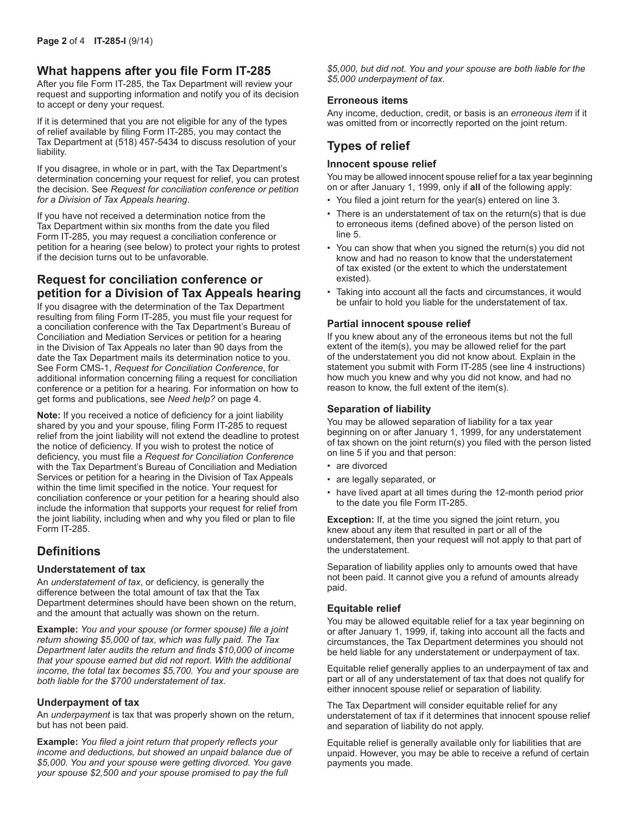### **What happens after you file Form IT-285**

After you file Form IT-285, the Tax Department will review your request and supporting information and notify you of its decision to accept or deny your request.

If it is determined that you are not eligible for any of the types of relief available by filing Form IT-285, you may contact the Tax Department at (518) 457-5434 to discuss resolution of your liability.

If you disagree, in whole or in part, with the Tax Department's determination concerning your request for relief, you can protest the decision. See *Request for conciliation conference or petition for a Division of Tax Appeals hearing*.

If you have not received a determination notice from the Tax Department within six months from the date you filed Form IT-285, you may request a conciliation conference or petition for a hearing (see below) to protect your rights to protest if the decision turns out to be unfavorable.

### **Request for conciliation conference or petition for a Division of Tax Appeals hearing**

If you disagree with the determination of the Tax Department resulting from filing Form IT-285, you must file your request for a conciliation conference with the Tax Department's Bureau of Conciliation and Mediation Services or petition for a hearing in the Division of Tax Appeals no later than 90 days from the date the Tax Department mails its determination notice to you. See Form CMS-1, *Request for Conciliation Conference*, for additional information concerning filing a request for conciliation conference or a petition for a hearing. For information on how to get forms and publications, see *Need help?* on page 4.

**Note:** If you received a notice of deficiency for a joint liability shared by you and your spouse, filing Form IT-285 to request relief from the joint liability will not extend the deadline to protest the notice of deficiency. If you wish to protest the notice of deficiency, you must file a *Request for Conciliation Conference* with the Tax Department's Bureau of Conciliation and Mediation Services or petition for a hearing in the Division of Tax Appeals within the time limit specified in the notice. Your request for conciliation conference or your petition for a hearing should also include the information that supports your request for relief from the joint liability, including when and why you filed or plan to file Form IT-285.

### **Definitions**

#### **Understatement of tax**

An *understatement of tax*, or deficiency, is generally the difference between the total amount of tax that the Tax Department determines should have been shown on the return, and the amount that actually was shown on the return.

**Example:** *You and your spouse (or former spouse) file a joint return showing \$5,000 of tax, which was fully paid. The Tax Department later audits the return and finds \$10,000 of income that your spouse earned but did not report. With the additional income, the total tax becomes \$5,700. You and your spouse are both liable for the \$700 understatement of tax.*

#### **Underpayment of tax**

An *underpayment* is tax that was properly shown on the return, but has not been paid.

**Example:** *You filed a joint return that properly reflects your income and deductions, but showed an unpaid balance due of \$5,000. You and your spouse were getting divorced. You gave your spouse \$2,500 and your spouse promised to pay the full* 

*\$5,000, but did not. You and your spouse are both liable for the \$5,000 underpayment of tax.*

#### **Erroneous items**

Any income, deduction, credit, or basis is an *erroneous item* if it was omitted from or incorrectly reported on the joint return.

### **Types of relief**

#### **Innocent spouse relief**

You may be allowed innocent spouse relief for a tax year beginning on or after January 1, 1999, only if **all** of the following apply:

- You filed a joint return for the year(s) entered on line 3.
- There is an understatement of tax on the return(s) that is due to erroneous items (defined above) of the person listed on line 5.
- You can show that when you signed the return(s) you did not know and had no reason to know that the understatement of tax existed (or the extent to which the understatement existed).
- Taking into account all the facts and circumstances, it would be unfair to hold you liable for the understatement of tax.

#### **Partial innocent spouse relief**

If you knew about any of the erroneous items but not the full extent of the item(s), you may be allowed relief for the part of the understatement you did not know about. Explain in the statement you submit with Form IT-285 (see line 4 instructions) how much you knew and why you did not know, and had no reason to know, the full extent of the item(s).

#### **Separation of liability**

You may be allowed separation of liability for a tax year beginning on or after January 1, 1999, for any understatement of tax shown on the joint return(s) you filed with the person listed on line 5 if you and that person:

- are divorced
- are legally separated, or
- have lived apart at all times during the 12-month period prior to the date you file Form IT-285.

**Exception:** If, at the time you signed the joint return, you knew about any item that resulted in part or all of the understatement, then your request will not apply to that part of the understatement.

Separation of liability applies only to amounts owed that have not been paid. It cannot give you a refund of amounts already paid.

#### **Equitable relief**

You may be allowed equitable relief for a tax year beginning on or after January 1, 1999, if, taking into account all the facts and circumstances, the Tax Department determines you should not be held liable for any understatement or underpayment of tax.

Equitable relief generally applies to an underpayment of tax and part or all of any understatement of tax that does not qualify for either innocent spouse relief or separation of liability.

The Tax Department will consider equitable relief for any understatement of tax if it determines that innocent spouse relief and separation of liability do not apply.

Equitable relief is generally available only for liabilities that are unpaid. However, you may be able to receive a refund of certain payments you made.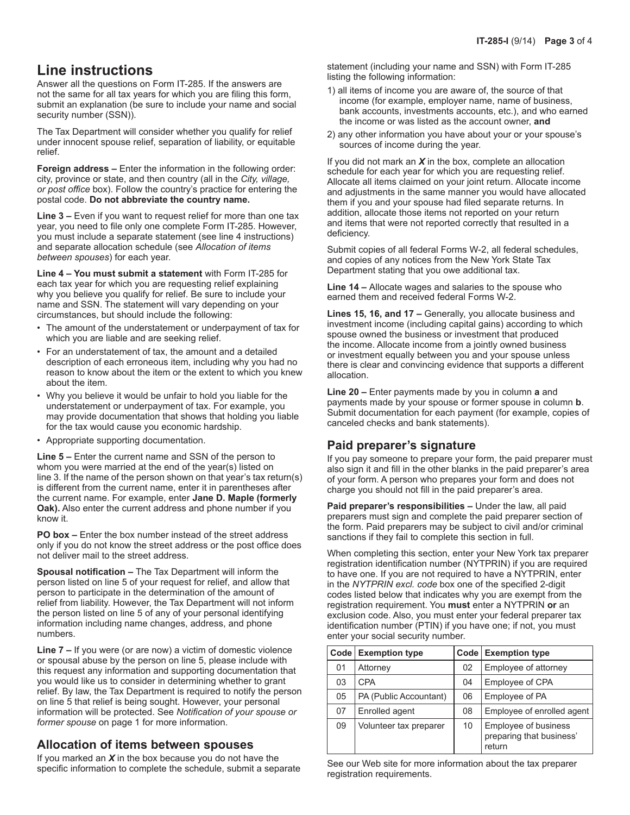## **Line instructions**

Answer all the questions on Form IT-285. If the answers are not the same for all tax years for which you are filing this form, submit an explanation (be sure to include your name and social security number (SSN)).

The Tax Department will consider whether you qualify for relief under innocent spouse relief, separation of liability, or equitable relief.

**Foreign address –** Enter the information in the following order: city, province or state, and then country (all in the *City, village, or post office* box). Follow the country's practice for entering the postal code. **Do not abbreviate the country name.**

**Line 3 –** Even if you want to request relief for more than one tax year, you need to file only one complete Form IT-285. However, you must include a separate statement (see line 4 instructions) and separate allocation schedule (see *Allocation of items between spouses*) for each year.

**Line 4 – You must submit a statement** with Form IT-285 for each tax year for which you are requesting relief explaining why you believe you qualify for relief. Be sure to include your name and SSN. The statement will vary depending on your circumstances, but should include the following:

- The amount of the understatement or underpayment of tax for which you are liable and are seeking relief.
- For an understatement of tax, the amount and a detailed description of each erroneous item, including why you had no reason to know about the item or the extent to which you knew about the item.
- Why you believe it would be unfair to hold you liable for the understatement or underpayment of tax. For example, you may provide documentation that shows that holding you liable for the tax would cause you economic hardship.
- Appropriate supporting documentation.

**Line 5 –** Enter the current name and SSN of the person to whom you were married at the end of the year(s) listed on line 3. If the name of the person shown on that year's tax return(s) is different from the current name, enter it in parentheses after the current name. For example, enter **Jane D. Maple (formerly Oak).** Also enter the current address and phone number if you know it.

**PO box –** Enter the box number instead of the street address only if you do not know the street address or the post office does not deliver mail to the street address.

**Spousal notification –** The Tax Department will inform the person listed on line 5 of your request for relief, and allow that person to participate in the determination of the amount of relief from liability. However, the Tax Department will not inform the person listed on line 5 of any of your personal identifying information including name changes, address, and phone numbers.

**Line 7 –** If you were (or are now) a victim of domestic violence or spousal abuse by the person on line 5, please include with this request any information and supporting documentation that you would like us to consider in determining whether to grant relief. By law, the Tax Department is required to notify the person on line 5 that relief is being sought. However, your personal information will be protected. See *Notification of your spouse or former spouse* on page 1 for more information.

### **Allocation of items between spouses**

If you marked an *X* in the box because you do not have the specific information to complete the schedule, submit a separate statement (including your name and SSN) with Form IT-285 listing the following information:

- 1) all items of income you are aware of, the source of that income (for example, employer name, name of business, bank accounts, investments accounts, etc.), and who earned the income or was listed as the account owner, **and**
- 2) any other information you have about your or your spouse's sources of income during the year.

If you did not mark an *X* in the box, complete an allocation schedule for each year for which you are requesting relief. Allocate all items claimed on your joint return. Allocate income and adjustments in the same manner you would have allocated them if you and your spouse had filed separate returns. In addition, allocate those items not reported on your return and items that were not reported correctly that resulted in a deficiency.

Submit copies of all federal Forms W-2, all federal schedules, and copies of any notices from the New York State Tax Department stating that you owe additional tax.

**Line 14 –** Allocate wages and salaries to the spouse who earned them and received federal Forms W-2.

**Lines 15, 16, and 17 –** Generally, you allocate business and investment income (including capital gains) according to which spouse owned the business or investment that produced the income. Allocate income from a jointly owned business or investment equally between you and your spouse unless there is clear and convincing evidence that supports a different allocation.

**Line 20 –** Enter payments made by you in column **a** and payments made by your spouse or former spouse in column **b**. Submit documentation for each payment (for example, copies of canceled checks and bank statements).

### **Paid preparer's signature**

If you pay someone to prepare your form, the paid preparer must also sign it and fill in the other blanks in the paid preparer's area of your form. A person who prepares your form and does not charge you should not fill in the paid preparer's area.

**Paid preparer's responsibilities –** Under the law, all paid preparers must sign and complete the paid preparer section of the form. Paid preparers may be subject to civil and/or criminal sanctions if they fail to complete this section in full.

When completing this section, enter your New York tax preparer registration identification number (NYTPRIN) if you are required to have one. If you are not required to have a NYTPRIN, enter in the *NYTPRIN excl. code* box one of the specified 2-digit codes listed below that indicates why you are exempt from the registration requirement. You **must** enter a NYTPRIN **or** an exclusion code. Also, you must enter your federal preparer tax identification number (PTIN) if you have one; if not, you must enter your social security number.

|    | Code Exemption type    |    | Code Exemption type                                        |  |
|----|------------------------|----|------------------------------------------------------------|--|
| 01 | Attorney               | 02 | Employee of attorney                                       |  |
| 03 | <b>CPA</b>             | 04 | Employee of CPA                                            |  |
| 05 | PA (Public Accountant) | 06 | Employee of PA                                             |  |
| 07 | Enrolled agent         | 08 | Employee of enrolled agent                                 |  |
| 09 | Volunteer tax preparer | 10 | Employee of business<br>preparing that business'<br>return |  |

See our Web site for more information about the tax preparer registration requirements.